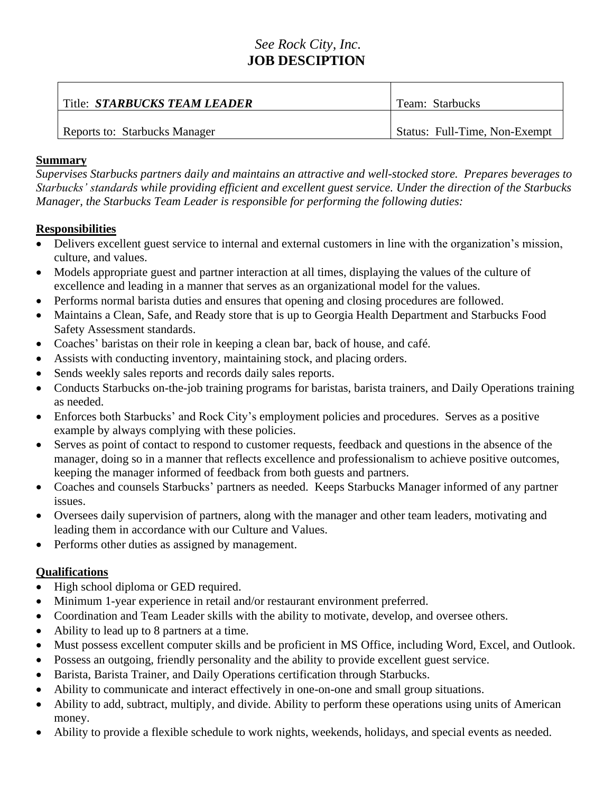## *See Rock City, Inc.* **JOB DESCIPTION**

| Title: STARBUCKS TEAM LEADER  | Team: Starbucks               |
|-------------------------------|-------------------------------|
| Reports to: Starbucks Manager | Status: Full-Time, Non-Exempt |

## **Summary**

*Supervises Starbucks partners daily and maintains an attractive and well-stocked store. Prepares beverages to Starbucks' standards while providing efficient and excellent guest service. Under the direction of the Starbucks Manager, the Starbucks Team Leader is responsible for performing the following duties:*

## **Responsibilities**

- Delivers excellent guest service to internal and external customers in line with the organization's mission, culture, and values.
- Models appropriate guest and partner interaction at all times, displaying the values of the culture of excellence and leading in a manner that serves as an organizational model for the values.
- Performs normal barista duties and ensures that opening and closing procedures are followed.
- Maintains a Clean, Safe, and Ready store that is up to Georgia Health Department and Starbucks Food Safety Assessment standards.
- Coaches' baristas on their role in keeping a clean bar, back of house, and café.
- Assists with conducting inventory, maintaining stock, and placing orders.
- Sends weekly sales reports and records daily sales reports.
- Conducts Starbucks on-the-job training programs for baristas, barista trainers, and Daily Operations training as needed.
- Enforces both Starbucks' and Rock City's employment policies and procedures. Serves as a positive example by always complying with these policies.
- Serves as point of contact to respond to customer requests, feedback and questions in the absence of the manager, doing so in a manner that reflects excellence and professionalism to achieve positive outcomes, keeping the manager informed of feedback from both guests and partners.
- Coaches and counsels Starbucks' partners as needed. Keeps Starbucks Manager informed of any partner issues.
- Oversees daily supervision of partners, along with the manager and other team leaders, motivating and leading them in accordance with our Culture and Values.
- Performs other duties as assigned by management.

## **Qualifications**

- High school diploma or GED required.
- Minimum 1-year experience in retail and/or restaurant environment preferred.
- Coordination and Team Leader skills with the ability to motivate, develop, and oversee others.
- Ability to lead up to 8 partners at a time.
- Must possess excellent computer skills and be proficient in MS Office, including Word, Excel, and Outlook.
- Possess an outgoing, friendly personality and the ability to provide excellent guest service.
- Barista, Barista Trainer, and Daily Operations certification through Starbucks.
- Ability to communicate and interact effectively in one-on-one and small group situations.
- Ability to add, subtract, multiply, and divide. Ability to perform these operations using units of American money.
- Ability to provide a flexible schedule to work nights, weekends, holidays, and special events as needed.